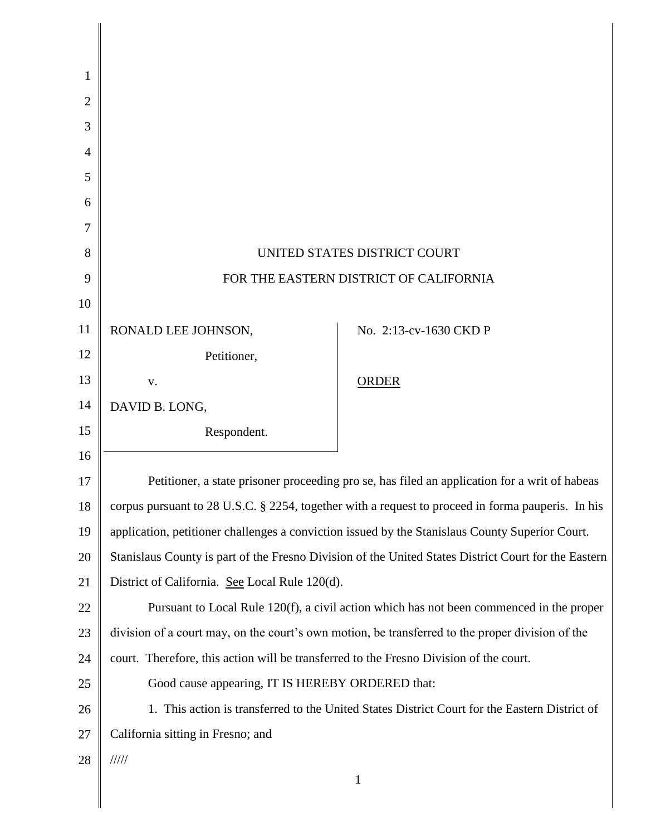| 1  |                                                                                                      |                        |  |
|----|------------------------------------------------------------------------------------------------------|------------------------|--|
| 2  |                                                                                                      |                        |  |
| 3  |                                                                                                      |                        |  |
| 4  |                                                                                                      |                        |  |
| 5  |                                                                                                      |                        |  |
| 6  |                                                                                                      |                        |  |
| 7  |                                                                                                      |                        |  |
| 8  | UNITED STATES DISTRICT COURT                                                                         |                        |  |
| 9  | FOR THE EASTERN DISTRICT OF CALIFORNIA                                                               |                        |  |
| 10 |                                                                                                      |                        |  |
| 11 | RONALD LEE JOHNSON,                                                                                  | No. 2:13-cv-1630 CKD P |  |
| 12 | Petitioner,                                                                                          |                        |  |
| 13 | V.                                                                                                   | <b>ORDER</b>           |  |
| 14 | DAVID B. LONG,                                                                                       |                        |  |
| 15 | Respondent.                                                                                          |                        |  |
| 16 |                                                                                                      |                        |  |
| 17 | Petitioner, a state prisoner proceeding pro se, has filed an application for a writ of habeas        |                        |  |
| 18 | corpus pursuant to 28 U.S.C. § 2254, together with a request to proceed in forma pauperis. In his    |                        |  |
| 19 | application, petitioner challenges a conviction issued by the Stanislaus County Superior Court.      |                        |  |
| 20 | Stanislaus County is part of the Fresno Division of the United States District Court for the Eastern |                        |  |
| 21 | District of California. See Local Rule 120(d).                                                       |                        |  |
| 22 | Pursuant to Local Rule 120(f), a civil action which has not been commenced in the proper             |                        |  |
| 23 | division of a court may, on the court's own motion, be transferred to the proper division of the     |                        |  |
| 24 | court. Therefore, this action will be transferred to the Fresno Division of the court.               |                        |  |
| 25 | Good cause appearing, IT IS HEREBY ORDERED that:                                                     |                        |  |
| 26 | 1. This action is transferred to the United States District Court for the Eastern District of        |                        |  |
| 27 | California sitting in Fresno; and                                                                    |                        |  |
| 28 | 11111                                                                                                |                        |  |
|    |                                                                                                      | 1                      |  |

║

║